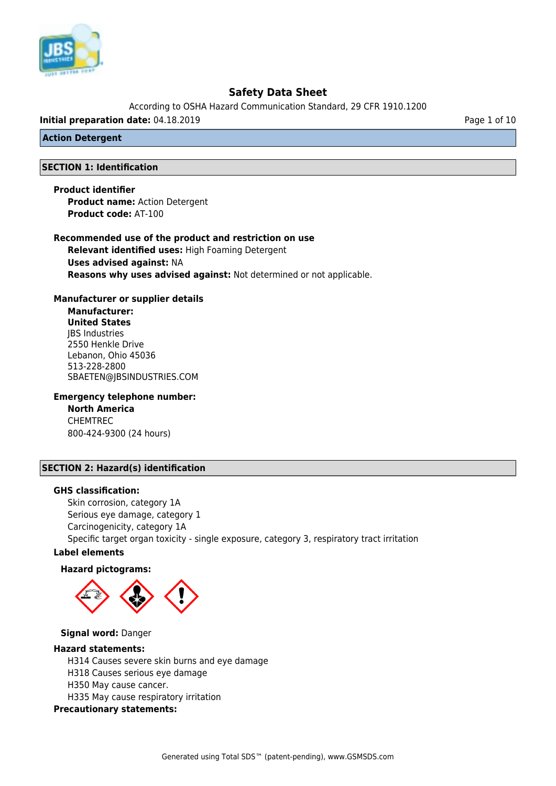

According to OSHA Hazard Communication Standard, 29 CFR 1910.1200

**Initial preparation date:** 04.18.2019 **Page 1 of 10** Page 1 of 10

### **Action Detergent**

## **SECTION 1: Identification**

**Product identifier Product name:** Action Detergent **Product code:** AT-100

**Recommended use of the product and restriction on use Relevant identified uses:** High Foaming Detergent **Uses advised against:** NA **Reasons why uses advised against:** Not determined or not applicable.

## **Manufacturer or supplier details**

**Manufacturer: United States** JBS Industries 2550 Henkle Drive Lebanon, Ohio 45036 513-228-2800 SBAETEN@JBSINDUSTRIES.COM

**Emergency telephone number:**

**North America** CHEMTREC 800-424-9300 (24 hours)

# **SECTION 2: Hazard(s) identification**

#### **GHS classification:**

Skin corrosion, category 1A Serious eye damage, category 1 Carcinogenicity, category 1A Specific target organ toxicity - single exposure, category 3, respiratory tract irritation

## **Label elements**

#### **Hazard pictograms:**



#### **Signal word:** Danger

#### **Hazard statements:**

H314 Causes severe skin burns and eye damage H318 Causes serious eye damage H350 May cause cancer. H335 May cause respiratory irritation

**Precautionary statements:**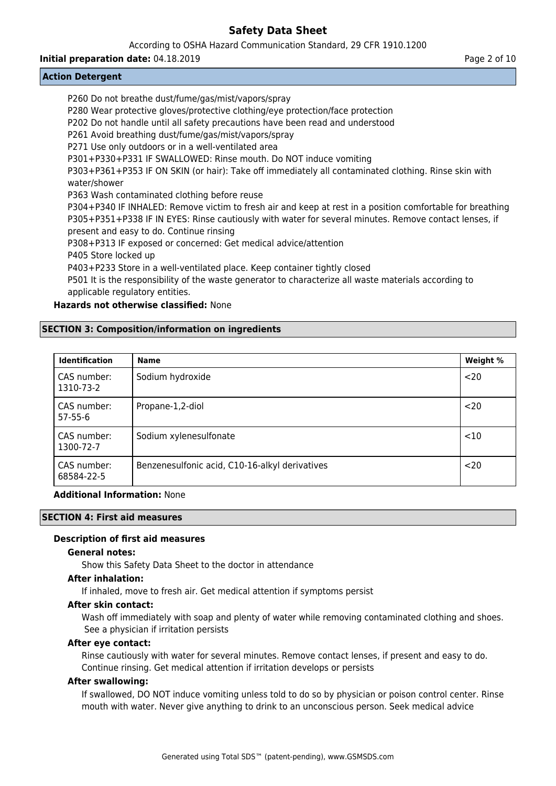### According to OSHA Hazard Communication Standard, 29 CFR 1910.1200

## **Initial preparation date:** 04.18.2019 **Page 2 of 10 Page 2 of 10 Page 2 of 10**

## **Action Detergent**

| P260 Do not breathe dust/fume/gas/mist/vapors/spray                                                       |
|-----------------------------------------------------------------------------------------------------------|
| P280 Wear protective gloves/protective clothing/eye protection/face protection                            |
| P202 Do not handle until all safety precautions have been read and understood                             |
| P261 Avoid breathing dust/fume/gas/mist/vapors/spray                                                      |
| P271 Use only outdoors or in a well-ventilated area                                                       |
| P301+P330+P331 IF SWALLOWED: Rinse mouth. Do NOT induce vomiting                                          |
| P303+P361+P353 IF ON SKIN (or hair): Take off immediately all contaminated clothing. Rinse skin with      |
| water/shower                                                                                              |
| P363 Wash contaminated clothing before reuse                                                              |
| P304+P340 IF INHALED: Remove victim to fresh air and keep at rest in a position comfortable for breathing |
| P305+P351+P338 IF IN EYES: Rinse cautiously with water for several minutes. Remove contact lenses, if     |
| present and easy to do. Continue rinsing                                                                  |
| P308+P313 IF exposed or concerned: Get medical advice/attention                                           |
| P405 Store locked up                                                                                      |
| DAD upsa Ctaro in a well ventilated place. Keep container tightly closed                                  |

P403+P233 Store in a well-ventilated place. Keep container tightly closed

P501 It is the responsibility of the waste generator to characterize all waste materials according to applicable regulatory entities.

## **Hazards not otherwise classified:** None

## **SECTION 3: Composition/information on ingredients**

| <b>Identification</b>        | <b>Name</b>                                    | Weight % |
|------------------------------|------------------------------------------------|----------|
| CAS number:<br>1310-73-2     | Sodium hydroxide                               | $20$     |
| CAS number:<br>$57 - 55 - 6$ | Propane-1,2-diol                               | $20$     |
| CAS number:<br>1300-72-7     | Sodium xylenesulfonate                         | <10      |
| CAS number:<br>68584-22-5    | Benzenesulfonic acid, C10-16-alkyl derivatives | $20$     |

### **Additional Information:** None

# **SECTION 4: First aid measures**

## **Description of first aid measures**

#### **General notes:**

Show this Safety Data Sheet to the doctor in attendance

#### **After inhalation:**

If inhaled, move to fresh air. Get medical attention if symptoms persist

#### **After skin contact:**

Wash off immediately with soap and plenty of water while removing contaminated clothing and shoes. See a physician if irritation persists

## **After eye contact:**

Rinse cautiously with water for several minutes. Remove contact lenses, if present and easy to do. Continue rinsing. Get medical attention if irritation develops or persists

#### **After swallowing:**

If swallowed, DO NOT induce vomiting unless told to do so by physician or poison control center. Rinse mouth with water. Never give anything to drink to an unconscious person. Seek medical advice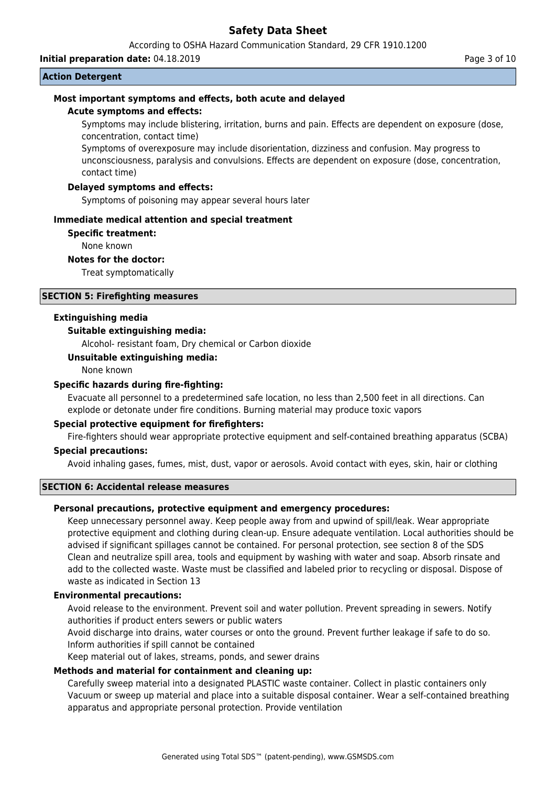According to OSHA Hazard Communication Standard, 29 CFR 1910.1200

**Initial preparation date:** 04.18.2019 **Page 3 of 10** 

#### **Action Detergent**

## **Most important symptoms and effects, both acute and delayed**

#### **Acute symptoms and effects:**

Symptoms may include blistering, irritation, burns and pain. Effects are dependent on exposure (dose, concentration, contact time)

Symptoms of overexposure may include disorientation, dizziness and confusion. May progress to unconsciousness, paralysis and convulsions. Effects are dependent on exposure (dose, concentration, contact time)

#### **Delayed symptoms and effects:**

Symptoms of poisoning may appear several hours later

#### **Immediate medical attention and special treatment**

#### **Specific treatment:**

None known

#### **Notes for the doctor:**

Treat symptomatically

## **SECTION 5: Firefighting measures**

#### **Extinguishing media**

#### **Suitable extinguishing media:**

Alcohol- resistant foam, Dry chemical or Carbon dioxide

#### **Unsuitable extinguishing media:**

None known

#### **Specific hazards during fire-fighting:**

Evacuate all personnel to a predetermined safe location, no less than 2,500 feet in all directions. Can explode or detonate under fire conditions. Burning material may produce toxic vapors

### **Special protective equipment for firefighters:**

Fire-fighters should wear appropriate protective equipment and self-contained breathing apparatus (SCBA)

#### **Special precautions:**

Avoid inhaling gases, fumes, mist, dust, vapor or aerosols. Avoid contact with eyes, skin, hair or clothing

#### **SECTION 6: Accidental release measures**

## **Personal precautions, protective equipment and emergency procedures:**

Keep unnecessary personnel away. Keep people away from and upwind of spill/leak. Wear appropriate protective equipment and clothing during clean-up. Ensure adequate ventilation. Local authorities should be advised if significant spillages cannot be contained. For personal protection, see section 8 of the SDS Clean and neutralize spill area, tools and equipment by washing with water and soap. Absorb rinsate and add to the collected waste. Waste must be classified and labeled prior to recycling or disposal. Dispose of waste as indicated in Section 13

## **Environmental precautions:**

Avoid release to the environment. Prevent soil and water pollution. Prevent spreading in sewers. Notify authorities if product enters sewers or public waters

Avoid discharge into drains, water courses or onto the ground. Prevent further leakage if safe to do so. Inform authorities if spill cannot be contained

Keep material out of lakes, streams, ponds, and sewer drains

## **Methods and material for containment and cleaning up:**

Carefully sweep material into a designated PLASTIC waste container. Collect in plastic containers only Vacuum or sweep up material and place into a suitable disposal container. Wear a self-contained breathing apparatus and appropriate personal protection. Provide ventilation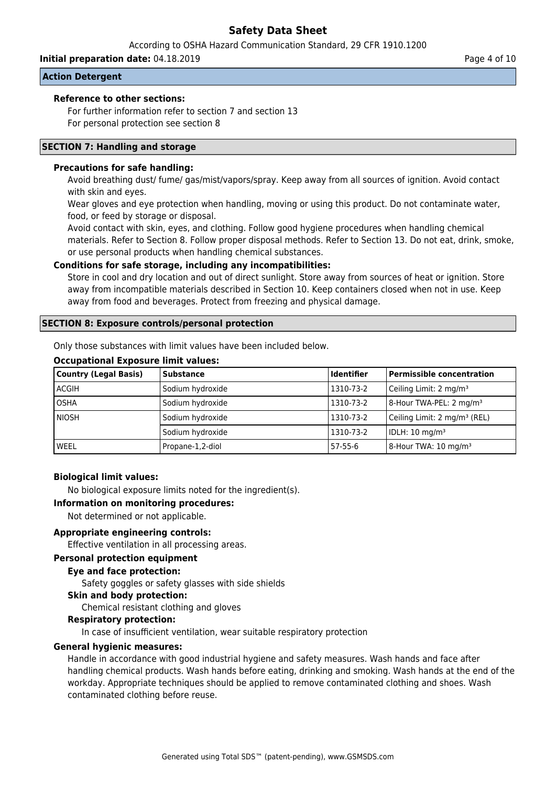According to OSHA Hazard Communication Standard, 29 CFR 1910.1200

**Initial preparation date:** 04.18.2019 **Page 4 of 10** Page 4 of 10

## **Action Detergent**

### **Reference to other sections:**

For further information refer to section 7 and section 13 For personal protection see section 8

### **SECTION 7: Handling and storage**

## **Precautions for safe handling:**

Avoid breathing dust/ fume/ gas/mist/vapors/spray. Keep away from all sources of ignition. Avoid contact with skin and eyes.

Wear gloves and eye protection when handling, moving or using this product. Do not contaminate water, food, or feed by storage or disposal.

Avoid contact with skin, eyes, and clothing. Follow good hygiene procedures when handling chemical materials. Refer to Section 8. Follow proper disposal methods. Refer to Section 13. Do not eat, drink, smoke, or use personal products when handling chemical substances.

## **Conditions for safe storage, including any incompatibilities:**

Store in cool and dry location and out of direct sunlight. Store away from sources of heat or ignition. Store away from incompatible materials described in Section 10. Keep containers closed when not in use. Keep away from food and beverages. Protect from freezing and physical damage.

## **SECTION 8: Exposure controls/personal protection**

Only those substances with limit values have been included below.

#### **Occupational Exposure limit values:**

| <b>Country (Legal Basis)</b> | <b>Substance</b> | <b>Identifier</b> | Permissible concentration                |
|------------------------------|------------------|-------------------|------------------------------------------|
| <b>ACGIH</b>                 | Sodium hydroxide | 1310-73-2         | Ceiling Limit: 2 mg/m <sup>3</sup>       |
| <b>OSHA</b>                  | Sodium hydroxide | 1310-73-2         | $ 8$ -Hour TWA-PEL: 2 mg/m <sup>3</sup>  |
| l NIOSH                      | Sodium hydroxide | 1310-73-2         | Ceiling Limit: 2 mg/m <sup>3</sup> (REL) |
|                              | Sodium hydroxide | 1310-73-2         | IDLH: 10 mg/m <sup>3</sup>               |
| WEEL                         | Propane-1,2-diol | 57-55-6           | 8-Hour TWA: 10 mg/m <sup>3</sup>         |

## **Biological limit values:**

No biological exposure limits noted for the ingredient(s).

**Information on monitoring procedures:**

Not determined or not applicable.

#### **Appropriate engineering controls:**

Effective ventilation in all processing areas.

#### **Personal protection equipment**

### **Eye and face protection:**

Safety goggles or safety glasses with side shields

**Skin and body protection:**

Chemical resistant clothing and gloves

#### **Respiratory protection:**

In case of insufficient ventilation, wear suitable respiratory protection

# **General hygienic measures:**

Handle in accordance with good industrial hygiene and safety measures. Wash hands and face after handling chemical products. Wash hands before eating, drinking and smoking. Wash hands at the end of the workday. Appropriate techniques should be applied to remove contaminated clothing and shoes. Wash contaminated clothing before reuse.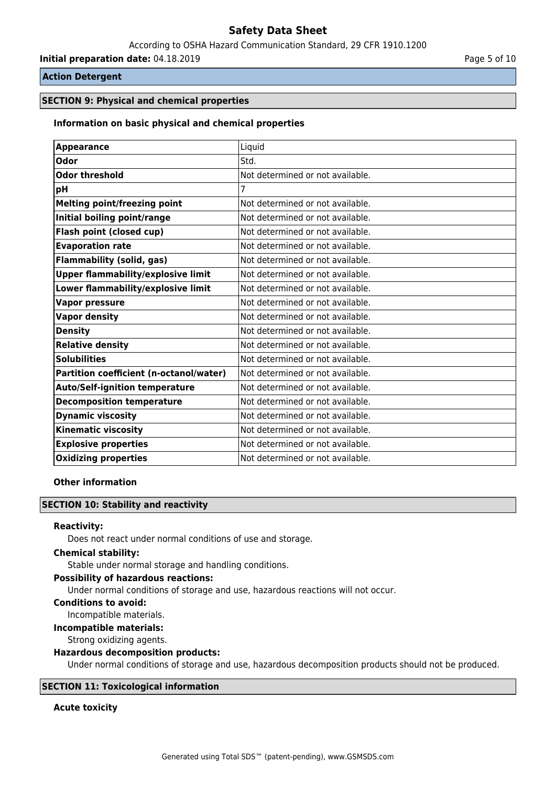According to OSHA Hazard Communication Standard, 29 CFR 1910.1200

**Initial preparation date:** 04.18.2019 **Page 1 and 2011** Page 5 of 10

## **Action Detergent**

## **SECTION 9: Physical and chemical properties**

### **Information on basic physical and chemical properties**

| <b>Appearance</b>                         | Liquid                           |
|-------------------------------------------|----------------------------------|
| <b>Odor</b>                               | Std.                             |
| <b>Odor threshold</b>                     | Not determined or not available. |
| pH                                        |                                  |
| <b>Melting point/freezing point</b>       | Not determined or not available. |
| Initial boiling point/range               | Not determined or not available. |
| Flash point (closed cup)                  | Not determined or not available. |
| <b>Evaporation rate</b>                   | Not determined or not available. |
| <b>Flammability (solid, gas)</b>          | Not determined or not available. |
| <b>Upper flammability/explosive limit</b> | Not determined or not available. |
| Lower flammability/explosive limit        | Not determined or not available. |
| <b>Vapor pressure</b>                     | Not determined or not available. |
| <b>Vapor density</b>                      | Not determined or not available. |
| <b>Density</b>                            | Not determined or not available. |
| <b>Relative density</b>                   | Not determined or not available. |
| <b>Solubilities</b>                       | Not determined or not available. |
| Partition coefficient (n-octanol/water)   | Not determined or not available. |
| <b>Auto/Self-ignition temperature</b>     | Not determined or not available. |
| <b>Decomposition temperature</b>          | Not determined or not available. |
| <b>Dynamic viscosity</b>                  | Not determined or not available. |
| <b>Kinematic viscosity</b>                | Not determined or not available. |
| <b>Explosive properties</b>               | Not determined or not available. |
| <b>Oxidizing properties</b>               | Not determined or not available. |

#### **Other information**

## **SECTION 10: Stability and reactivity**

#### **Reactivity:**

Does not react under normal conditions of use and storage.

#### **Chemical stability:**

Stable under normal storage and handling conditions.

# **Possibility of hazardous reactions:**

Under normal conditions of storage and use, hazardous reactions will not occur.

## **Conditions to avoid:**

Incompatible materials.

## **Incompatible materials:**

Strong oxidizing agents.

#### **Hazardous decomposition products:**

Under normal conditions of storage and use, hazardous decomposition products should not be produced.

## **SECTION 11: Toxicological information**

## **Acute toxicity**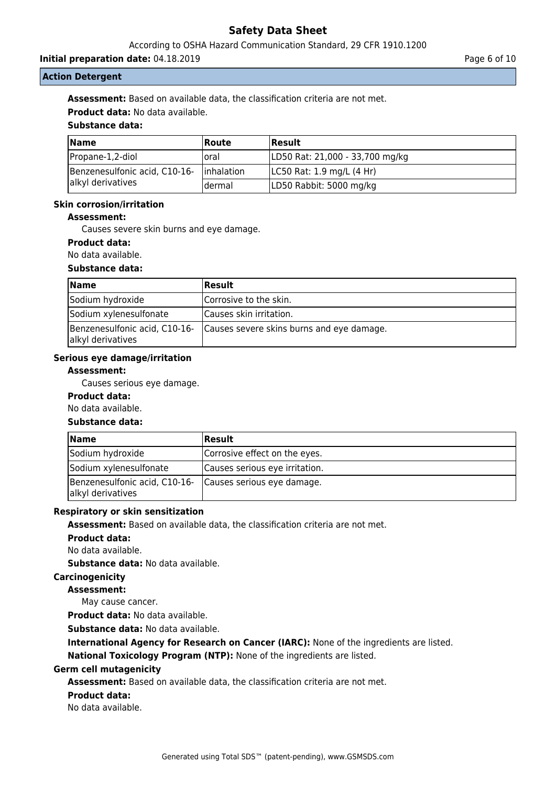According to OSHA Hazard Communication Standard, 29 CFR 1910.1200

**Initial preparation date:** 04.18.2019 **Page 6 of 10 Page 6 of 10 Page 6 of 10** 

## **Action Detergent**

**Assessment:** Based on available data, the classification criteria are not met.

**Product data:** No data available.

## **Substance data:**

| <b>Name</b>                   | <b>Route</b> | <b>Result</b>                   |
|-------------------------------|--------------|---------------------------------|
| Propane-1,2-diol              | Ioral        | LD50 Rat: 21,000 - 33,700 mg/kg |
| Benzenesulfonic acid, C10-16- | linhalation  | LC50 Rat: 1.9 mg/L (4 Hr)       |
| alkyl derivatives             | ldermal      | LD50 Rabbit: 5000 mg/kg         |

## **Skin corrosion/irritation**

#### **Assessment:**

Causes severe skin burns and eye damage.

## **Product data:**

No data available.

## **Substance data:**

| $\blacksquare$ Name                                | Result                                    |
|----------------------------------------------------|-------------------------------------------|
| Sodium hydroxide                                   | Corrosive to the skin.                    |
| Sodium xylenesulfonate                             | Causes skin irritation.                   |
| Benzenesulfonic acid, C10-16-<br>alkyl derivatives | Causes severe skins burns and eye damage. |

#### **Serious eye damage/irritation**

## **Assessment:**

Causes serious eye damage.

## **Product data:**

# No data available.

#### **Substance data:**

| Name                                                                          | Result                         |
|-------------------------------------------------------------------------------|--------------------------------|
| Sodium hydroxide                                                              | Corrosive effect on the eyes.  |
| Sodium xylenesulfonate                                                        | Causes serious eye irritation. |
| Benzenesulfonic acid, C10-16- Causes serious eye damage.<br>alkyl derivatives |                                |

#### **Respiratory or skin sensitization**

**Assessment:** Based on available data, the classification criteria are not met.

**Product data:**

No data available.

**Substance data:** No data available.

# **Carcinogenicity**

## **Assessment:**

May cause cancer.

**Product data:** No data available.

**Substance data:** No data available.

**International Agency for Research on Cancer (IARC):** None of the ingredients are listed.

**National Toxicology Program (NTP):** None of the ingredients are listed.

#### **Germ cell mutagenicity**

**Assessment:** Based on available data, the classification criteria are not met.

## **Product data:**

No data available.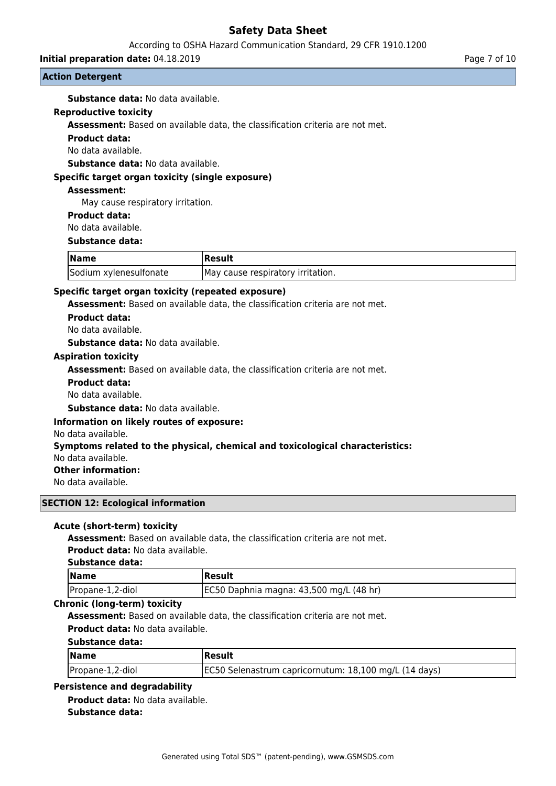According to OSHA Hazard Communication Standard, 29 CFR 1910.1200

**Initial preparation date:** 04.18.2019 **Page 7 of 10 Page 7 of 10 Page 7 of 10** 

## **Action Detergent**

**Substance data:** No data available.

### **Reproductive toxicity**

**Assessment:** Based on available data, the classification criteria are not met.

## **Product data:**

No data available.

**Substance data:** No data available.

## **Specific target organ toxicity (single exposure)**

## **Assessment:**

May cause respiratory irritation.

#### **Product data:**

No data available.

### **Substance data:**

| <b>Name</b>            | <b>Result</b>                      |
|------------------------|------------------------------------|
| Sodium xylenesulfonate | IMay cause respiratory irritation. |

## **Specific target organ toxicity (repeated exposure)**

**Assessment:** Based on available data, the classification criteria are not met.

#### **Product data:**

No data available.

**Substance data:** No data available.

## **Aspiration toxicity**

**Assessment:** Based on available data, the classification criteria are not met.

#### **Product data:**

No data available.

**Substance data:** No data available.

#### **Information on likely routes of exposure:**

#### No data available.

#### **Symptoms related to the physical, chemical and toxicological characteristics:**

No data available.

# **Other information:**

No data available.

### **SECTION 12: Ecological information**

#### **Acute (short-term) toxicity**

**Assessment:** Based on available data, the classification criteria are not met.

**Product data:** No data available.

#### **Substance data:**

| <b>Name</b>      | Result                                  |
|------------------|-----------------------------------------|
| Propane-1,2-diol | EC50 Daphnia magna: 43,500 mg/L (48 hr) |

## **Chronic (long-term) toxicity**

**Assessment:** Based on available data, the classification criteria are not met.

**Product data:** No data available.

#### **Substance data:**

| $\sqrt{\mathsf{Name}}$ | Result                                                |
|------------------------|-------------------------------------------------------|
| Propane-1,2-diol       | EC50 Selenastrum capricornutum: 18,100 mg/L (14 days) |

## **Persistence and degradability**

**Product data:** No data available. **Substance data:**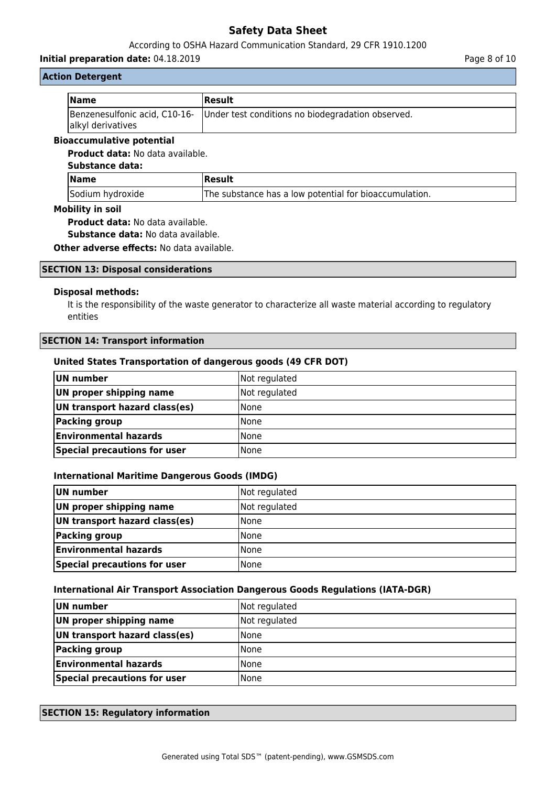## According to OSHA Hazard Communication Standard, 29 CFR 1910.1200

#### **Initial preparation date:** 04.18.2019 **Page 8 of 10**

## **Action Detergent**

| <b>Name</b>       | Result                                                                          |
|-------------------|---------------------------------------------------------------------------------|
| alkyl derivatives | Benzenesulfonic acid, C10-16- Under test conditions no biodegradation observed. |

# **Bioaccumulative potential**

**Product data:** No data available.

# **Substance data:**

| <b>Name</b>      | <b>Result</b>                                          |
|------------------|--------------------------------------------------------|
| Sodium hydroxide | The substance has a low potential for bioaccumulation. |

## **Mobility in soil**

**Product data:** No data available.

**Substance data:** No data available.

**Other adverse effects:** No data available.

## **SECTION 13: Disposal considerations**

## **Disposal methods:**

It is the responsibility of the waste generator to characterize all waste material according to regulatory entities

## **SECTION 14: Transport information**

## **United States Transportation of dangerous goods (49 CFR DOT)**

| UN number                     | Not regulated |
|-------------------------------|---------------|
| UN proper shipping name       | Not regulated |
| UN transport hazard class(es) | <b>None</b>   |
| Packing group                 | <b>None</b>   |
| <b>Environmental hazards</b>  | <b>None</b>   |
| Special precautions for user  | <b>None</b>   |

## **International Maritime Dangerous Goods (IMDG)**

| UN number                     | Not regulated |
|-------------------------------|---------------|
| UN proper shipping name       | Not regulated |
| UN transport hazard class(es) | <b>None</b>   |
| <b>Packing group</b>          | <b>None</b>   |
| <b>Environmental hazards</b>  | <b>None</b>   |
| Special precautions for user  | l None        |

#### **International Air Transport Association Dangerous Goods Regulations (IATA-DGR)**

| UN number                     | Not regulated |
|-------------------------------|---------------|
| UN proper shipping name       | Not regulated |
| UN transport hazard class(es) | None          |
| Packing group                 | <b>None</b>   |
| <b>Environmental hazards</b>  | None          |
| Special precautions for user  | <b>None</b>   |

## **SECTION 15: Regulatory information**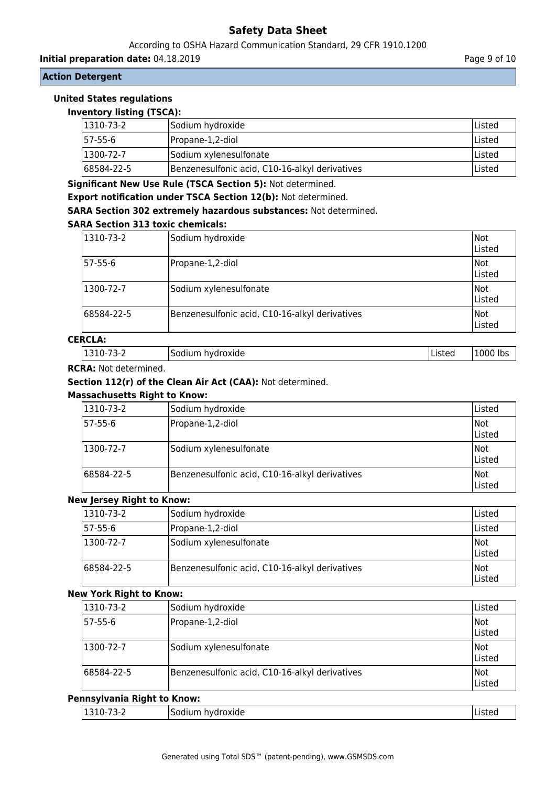## According to OSHA Hazard Communication Standard, 29 CFR 1910.1200

**Initial preparation date:** 04.18.2019 **Page 9 of 10** 

## **Action Detergent**

# **United States regulations**

| <b>Inventory listing (TSCA):</b> |                                                |         |
|----------------------------------|------------------------------------------------|---------|
| 1310-73-2                        | Sodium hydroxide                               | Listed  |
| 57-55-6                          | Propane-1,2-diol                               | lListed |
| 1300-72-7                        | Sodium xylenesulfonate                         | lListed |
| 68584-22-5                       | Benzenesulfonic acid, C10-16-alkyl derivatives | Listed  |

**Significant New Use Rule (TSCA Section 5):** Not determined.

**Export notification under TSCA Section 12(b):** Not determined.

**SARA Section 302 extremely hazardous substances:** Not determined.

## **SARA Section 313 toxic chemicals:**

| 1310-73-2  | Sodium hydroxide                               | Not<br>Listed  |
|------------|------------------------------------------------|----------------|
| 57-55-6    | Propane-1,2-diol                               | lNot<br>Listed |
| 1300-72-7  | Sodium xylenesulfonate                         | Not<br>Listed  |
| 68584-22-5 | Benzenesulfonic acid, C10-16-alkyl derivatives | Not<br>Listed  |

# **CERCLA:**

| $ 1310-73-2$ | Sodium hydroxide | <b>Listed</b> | 1000 lbs |
|--------------|------------------|---------------|----------|
|              |                  |               |          |

#### **RCRA:** Not determined.

## **Section 112(r) of the Clean Air Act (CAA):** Not determined.

## **Massachusetts Right to Know:**

| 1310-73-2  | Sodium hydroxide                               | Listed                |
|------------|------------------------------------------------|-----------------------|
| 57-55-6    | Propane-1,2-diol                               | Not<br>Listed         |
| 1300-72-7  | Sodium xylenesulfonate                         | Not<br>Listed         |
| 68584-22-5 | Benzenesulfonic acid, C10-16-alkyl derivatives | lNot<br><b>Listed</b> |

#### **New Jersey Right to Know:**

| 1310-73-2   | Sodium hydroxide                               | lListed       |
|-------------|------------------------------------------------|---------------|
| 57-55-6     | Propane-1,2-diol                               | lListed       |
| 1300-72-7   | Sodium xylenesulfonate                         | Not<br>Listed |
| 168584-22-5 | Benzenesulfonic acid, C10-16-alkyl derivatives | Not<br>Listed |

#### **New York Right to Know:**

| 1310-73-2  | Sodium hydroxide                               | Listed                |
|------------|------------------------------------------------|-----------------------|
| 57-55-6    | Propane-1,2-diol                               | Not<br>Listed         |
| 1300-72-7  | Sodium xylenesulfonate                         | Not<br>Listed         |
| 68584-22-5 | Benzenesulfonic acid, C10-16-alkyl derivatives | lNot<br><b>Listed</b> |

### **Pennsylvania Right to Know:**

| 11.<br>╮-<br>. .<br>. .<br>-- 1<br>-<br>---- -- - | - ا<br>.<br>oxige<br>1 V U | . JLC |
|---------------------------------------------------|----------------------------|-------|